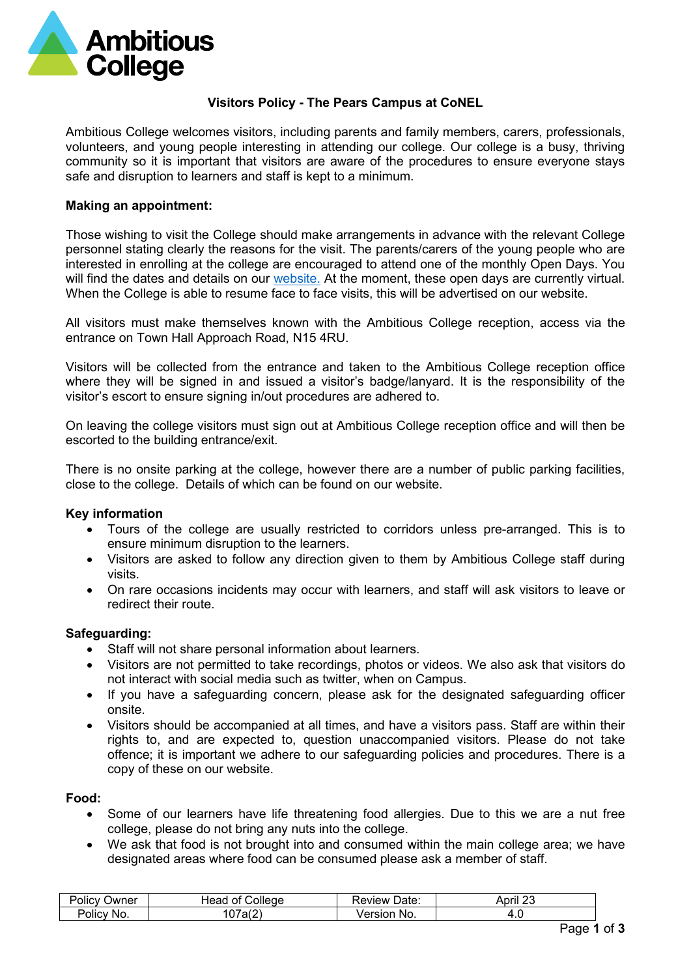

# **Visitors Policy - The Pears Campus at CoNEL**

Ambitious College welcomes visitors, including parents and family members, carers, professionals, volunteers, and young people interesting in attending our college. Our college is a busy, thriving community so it is important that visitors are aware of the procedures to ensure everyone stays safe and disruption to learners and staff is kept to a minimum.

## **Making an appointment:**

Those wishing to visit the College should make arrangements in advance with the relevant College personnel stating clearly the reasons for the visit. The parents/carers of the young people who are interested in enrolling at the college are encouraged to attend one of the monthly Open Days. You will find the dates and details on our [website.](https://ambitiouscollege.org.uk/key-information/how-to-apply/open-days) At the moment, these open days are currently virtual. When the College is able to resume face to face visits, this will be advertised on our website.

All visitors must make themselves known with the Ambitious College reception, access via the entrance on Town Hall Approach Road, N15 4RU.

Visitors will be collected from the entrance and taken to the Ambitious College reception office where they will be signed in and issued a visitor's badge/lanyard. It is the responsibility of the visitor's escort to ensure signing in/out procedures are adhered to.

On leaving the college visitors must sign out at Ambitious College reception office and will then be escorted to the building entrance/exit.

There is no onsite parking at the college, however there are a number of public parking facilities, close to the college. Details of which can be found on our website.

## **Key information**

- Tours of the college are usually restricted to corridors unless pre-arranged. This is to ensure minimum disruption to the learners.
- Visitors are asked to follow any direction given to them by Ambitious College staff during visits.
- On rare occasions incidents may occur with learners, and staff will ask visitors to leave or redirect their route.

## **Safeguarding:**

- Staff will not share personal information about learners.
- Visitors are not permitted to take recordings, photos or videos. We also ask that visitors do not interact with social media such as twitter, when on Campus.
- If you have a safeguarding concern, please ask for the designated safeguarding officer onsite.
- Visitors should be accompanied at all times, and have a visitors pass. Staff are within their rights to, and are expected to, question unaccompanied visitors. Please do not take offence; it is important we adhere to our safeguarding policies and procedures. There is a copy of these on our website.

#### **Food:**

- Some of our learners have life threatening food allergies. Due to this we are a nut free college, please do not bring any nuts into the college.
- We ask that food is not brought into and consumed within the main college area; we have designated areas where food can be consumed please ask a member of staff.

| . .<br>$\overline{\phantom{0}}$<br>Policy<br>שWner | ⊣еао<br>College<br>O1          | <b>Review</b><br>Date: | $-100$<br>April |
|----------------------------------------------------|--------------------------------|------------------------|-----------------|
| $\overline{\phantom{a}}$<br>Policy<br>'No.         | $\sqrt{2}$<br>ົິ<br>aı z<br>ັບ | ersion<br>No.<br>чe.   | т. е            |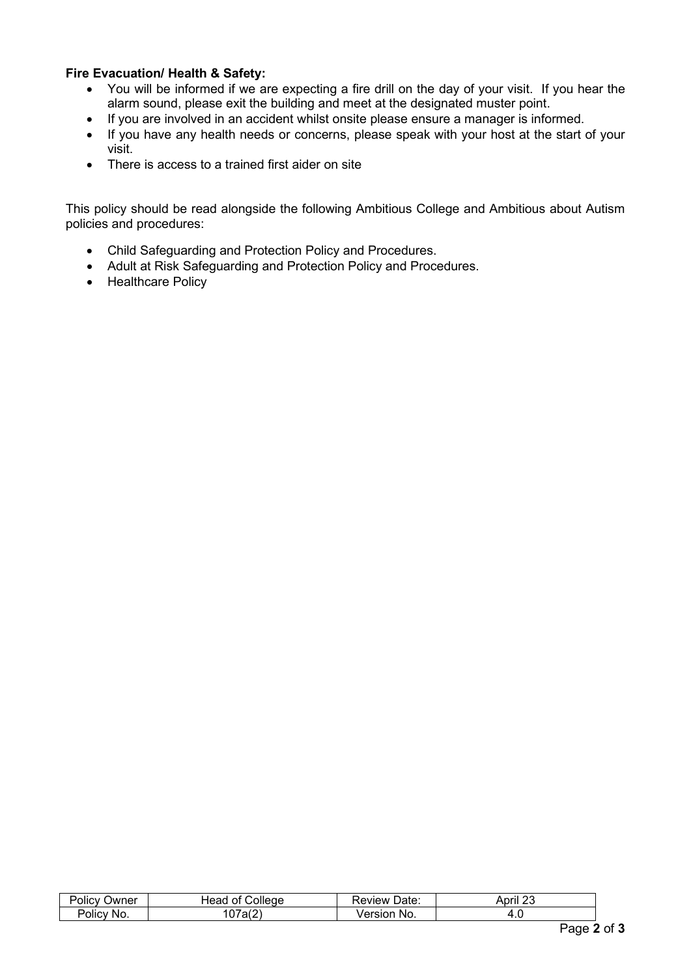# **Fire Evacuation/ Health & Safety:**

- You will be informed if we are expecting a fire drill on the day of your visit. If you hear the alarm sound, please exit the building and meet at the designated muster point.
- If you are involved in an accident whilst onsite please ensure a manager is informed.
- If you have any health needs or concerns, please speak with your host at the start of your visit.
- There is access to a trained first aider on site

This policy should be read alongside the following Ambitious College and Ambitious about Autism policies and procedures:

- Child Safeguarding and Protection Policy and Procedures.
- Adult at Risk Safeguarding and Protection Policy and Procedures.
- Healthcare Policy

| $\cdots$<br>∽<br>שע∟<br>UІК        | ollege<br>ΩŤ<br>eau<br>$. \mathsf{IP}$ | .<br>view<br>alu.   | $\mathbf{a}$<br>Anri<br>٦r |
|------------------------------------|----------------------------------------|---------------------|----------------------------|
| ∽<br><b>'olicy</b><br>Nι<br>$\sim$ | $\sim$<br>-<br>ີ<br>ີ                  | <b>NG</b><br>ור זו: | т. с                       |